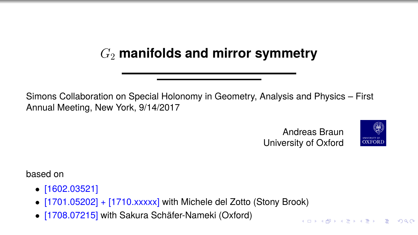# G<sup>2</sup> **manifolds and mirror symmetry**

Simons Collaboration on Special Holonomy in Geometry, Analysis and Physics – First Annual Meeting, New York, 9/14/2017

> Andreas Braun University of Oxford



**KORK EXTERN EL VOOR** 

based on

- [1602.03521]
- [1701.05202] + [1710.xxxxx] with Michele del Zotto (Stony Brook)
- [1708.07215] with Sakura Schäfer-Nameki (Oxford)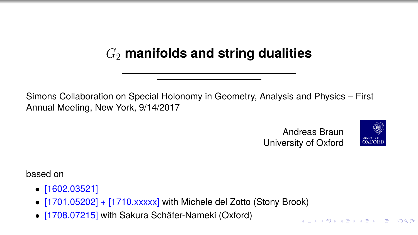# G<sup>2</sup> **manifolds and string dualities**

Simons Collaboration on Special Holonomy in Geometry, Analysis and Physics – First Annual Meeting, New York, 9/14/2017

> Andreas Braun University of Oxford



KOX KOX KEX KEX LE YORO

based on

- [1602.03521]
- [1701.05202] + [1710.xxxxx] with Michele del Zotto (Stony Brook)
- [1708.07215] with Sakura Schäfer-Nameki (Oxford)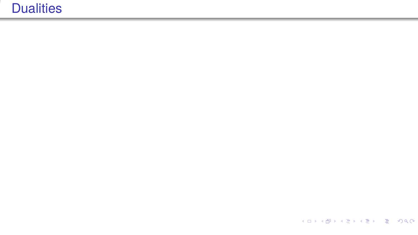KOXKOXKEXKEX E DAG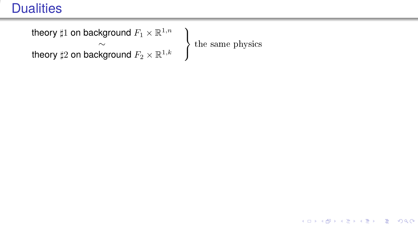```
theory \sharp 1 on background F_1\times {\mathbb R}^{1,n} )
                    \sim the same physics
theory \sharp 2 on background F_2 \times \mathbb{R}^{1,k}
```
 $\mathcal{L}$  $\int$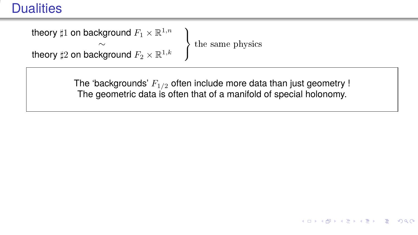theory  $\sharp 1$  on background  $F_1\times {\mathbb R}^{1,n}$  )  $\sim$  the same physics theory  $\sharp 2$  on background  $F_2 \times \mathbb{R}^{1,k}$ 

 $\mathcal{L}$ 

イロト イ押 トイヨ トイヨ トー

(B)  $2990$ 

The 'backgrounds'  $F_{1/2}$  often include more data than just geometry ! The geometric data is often that of a manifold of special holonomy.

 $\int$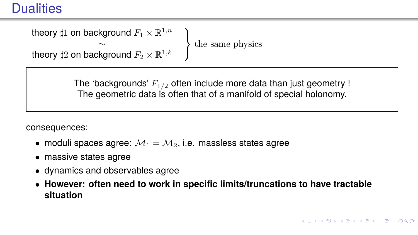theory  $\sharp 1$  on background  $F_1\times {\mathbb R}^{1,n}$  )  $\sim$  the same physics theory  $\sharp 2$  on background  $F_2 \times \mathbb{R}^{1,k}$ 

 $\mathcal{L}$ 

The 'backgrounds'  $F_{1/2}$  often include more data than just geometry ! The geometric data is often that of a manifold of special holonomy.

 $\int$ 

consequences:

- moduli spaces agree:  $M_1 = M_2$ , i.e. massless states agree
- massive states agree
- dynamics and observables agree
- **However: often need to work in specific limits/truncations to have tractable situation**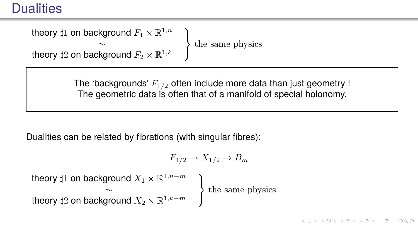theory  $\sharp 1$  on background  $F_1\times {\mathbb R}^{1,n}$  )  $\sim$  the same physics theory  $\sharp 2$  on background  $F_2 \times \mathbb{R}^{1,k}$ 

 $\mathcal{L}$ 

The 'backgrounds'  $F_{1/2}$  often include more data than just geometry ! The geometric data is often that of a manifold of special holonomy.

J

Dualities can be related by fibrations (with singular fibres):

$$
F_{1/2} \to X_{1/2} \to B_m
$$

theory  $\sharp 1$  on background  $X_1 \times \mathbb{R}^{1,n-m}$  )  $\mathcal{L}$  $\int$  $\sim$  the same physics theory  $\sharp 2$  on background  $X_2 \times \mathbb{R}^{1,k-m}$ 

**KO FREEZ A BY A BY A GOOD**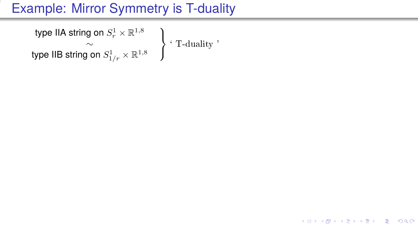type IIA string on  $S_r^1\times\mathbb{R}^{1,8}$  )  $\sim$   $\qquad \qquad \} \cdot \text{T-duality}$ type IIB string on  $S^1_{1/r}\times \mathbb{R}^{1,8}$ 

 $\mathcal{L}$ J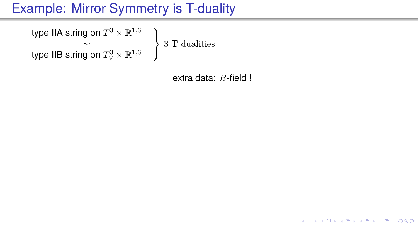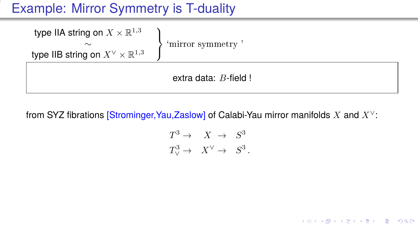| type IIA string on $X \times \mathbb{R}^{1,3}$<br>$\sim$<br>type IIB string on $X^{\vee} \times \mathbb{R}^{1,3}$ | 'mirror symmetry |
|-------------------------------------------------------------------------------------------------------------------|------------------|
| extra data: $B$ -field !                                                                                          |                  |

from SYZ fibrations [Strominger, Yau,Zaslow] of Calabi-Yau mirror manifolds X and  $X^{\vee}$ :

$$
T^3 \to X \to S^3
$$
  

$$
T^3_{\vee} \to X^{\vee} \to S^3.
$$

メロトメ 御 トメ 君 トメ 君 トー **GRAN**  $QQ$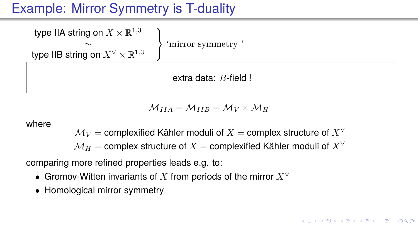type IIA string on  $X \times \mathbb{R}^{1,3}$  $\mathcal{L}$  $\mathcal{L}$  $\left| \right|$ ∼ `mirror symmetry ' type IIB string on  $X^\vee\times\mathbb{R}^{1,3}$ 

extra data: B-field !

 $M_{IIA} = M_{IIB} = M_V \times M_H$ 

where

 $\mathcal{M}_V$  = complexified Kähler moduli of  $X$  = complex structure of  $X^\vee$ 

 $\mathcal{M}_H$  = complex structure of  $X$  = complexified Kähler moduli of  $X^\vee$ 

comparing more refined properties leads e.g. to:

- Gromov-Witten invariants of X from periods of the mirror  $X^{\vee}$
- Homological mirror symmetry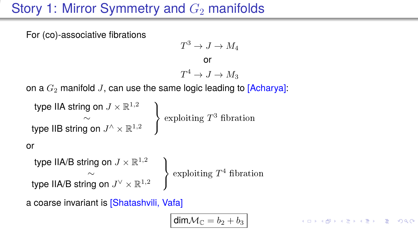# Story 1: Mirror Symmetry and  $G_2$  manifolds

For (co)-associative fibrations

$$
T^3 \to J \to M_4
$$
  
or  

$$
T^4 \to J \to M_3
$$

on a  $G_2$  manifold J, can use the same logic leading to [Acharya]:

 $\mathcal{L}$  $\int$ 

```
type IIA string on J\times\mathbb{R}^{1,2} )
                                                    \mathcal{L}J
type IIB string on J^\wedge \times \mathbb{R}^{1,2}
```
 $\sim$   $\longrightarrow$  exploiting  $T^3$  fibration

#### or

type IIA/B string on  $J\times\mathbb{R}^{1,2}$  ) type IIA/B string on  $J^\vee\times\mathbb{R}^{1,2}$ 

 $\sim$   $\left\{\right.$  exploiting  $T^4$  fibration

a coarse invariant is [Shatashvili, Vafa]

 $\dim \mathcal{M}_\mathbb{C} = b_2 + b_3$ 

K 디어 K 레이지 (B K 리더 시험) 시 코 (M O Q O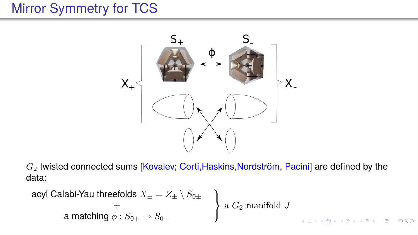# Mirror Symmetry for TCS



 $G_2$  twisted connected sums [Kovalev; Corti, Haskins, Nordström, Pacini] are defined by the data:

| <b>acyl Calabi-Yau threefolds</b> | $X_{\pm} = Z_{\pm} \setminus S_{0\pm}$ | $\Bigg\}$ | $\Bigg\}$ | $\Bigg\}$ | $\Bigg\}$ | $\Bigg\}$ | $\Bigg\}$ | $\Bigg\}$ | $\Bigg\}$ | $\Bigg\}$ | $\Bigg\}$ | $\Bigg\}$ | $\Bigg\}$ | $\Bigg\}$ | $\Bigg\}$ | $\Bigg\}$ | $\Bigg\}$ | $\Bigg\}$ | $\Bigg\}$ | $\Bigg\}$ | $\Bigg\}$ | $\Bigg\}$ | $\Bigg\}$ | $\Bigg\}$ | $\Bigg\}$ | $\Bigg\}$ | $\Bigg\}$ | $\Bigg\}$ | $\Bigg\}$ | $\Bigg\}$ | $\Bigg\}$ | $\Bigg\}$ | $\Bigg\}$ | $\Bigg\}$ | $\Bigg\}$ | $\Bigg\}$ | $\Bigg\}$ | $\Bigg\}$ | $\Bigg\}$ | $\Bigg\}$ | $\Bigg\}$ | $\Bigg\}$ | $\Bigg\}$ | $\Bigg\}$ | $\Bigg\}$ | $\Bigg\}$ | $\Bigg\}$ | $\Bigg\}$ | $\Bigg\}$ | $\Bigg\}$ | $\Bigg\}$ | $\Bigg\}$ | $\Bigg\}$ | $\Bigg\}$ | $\Bigg\}$ | $\Bigg\$ |
|-----------------------------------|----------------------------------------|-----------|-----------|-----------|-----------|-----------|-----------|-----------|-----------|-----------|-----------|-----------|-----------|-----------|-----------|-----------|-----------|-----------|-----------|-----------|-----------|-----------|-----------|-----------|-----------|-----------|-----------|-----------|-----------|-----------|-----------|-----------|-----------|-----------|-----------|-----------|-----------|-----------|-----------|-----------|-----------|-----------|-----------|-----------|-----------|-----------|-----------|-----------|-----------|-----------|-----------|-----------|-----------|-----------|-----------|----------|
|-----------------------------------|----------------------------------------|-----------|-----------|-----------|-----------|-----------|-----------|-----------|-----------|-----------|-----------|-----------|-----------|-----------|-----------|-----------|-----------|-----------|-----------|-----------|-----------|-----------|-----------|-----------|-----------|-----------|-----------|-----------|-----------|-----------|-----------|-----------|-----------|-----------|-----------|-----------|-----------|-----------|-----------|-----------|-----------|-----------|-----------|-----------|-----------|-----------|-----------|-----------|-----------|-----------|-----------|-----------|-----------|-----------|-----------|----------|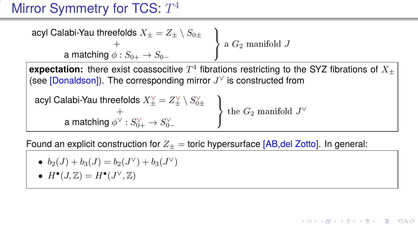# Mirror Symmetry for TCS:  $T^4$

$$
\begin{array}{c}\text{acyl Calabi-Yau threefolds } X_{\pm} = Z_{\pm} \setminus S_{0\pm} \\ \hline + \\ a \text{ matching } \phi: S_{0+} \to S_{0-} \end{array} \bigg\} \text{ a } G_2 \text{ manifold } J
$$

 $\bm{\epsilon}$ xpectation: there exist coassocitive  $T^4$  fibrations restricting to the SYZ fibrations of  $X_\pm$ (see [Donaldson]). The corresponding mirror  $J^{\vee}$  is constructed from

$$
\begin{array}{ccc}\n\text{acyl Calabi-Yau threefolds } X_{\pm}^{\vee} = Z_{\pm}^{\vee} \setminus S_{0\pm}^{\vee} \\
& + & \\
\text{a matching } \phi^{\vee} : S_{0+}^{\vee} \to S_{0-}^{\vee} \\
\end{array}\n\bigg\} \text{ the } G_2 \text{ manifold } J^{\vee}
$$

Found an explicit construction for  $Z_+$  = toric hypersurface [AB,del Zotto]. In general:

• 
$$
b_2(J) + b_3(J) = b_2(J^{\vee}) + b_3(J^{\vee})
$$

• 
$$
H^{\bullet}(J, \mathbb{Z}) = H^{\bullet}(J^{\vee}, \mathbb{Z})
$$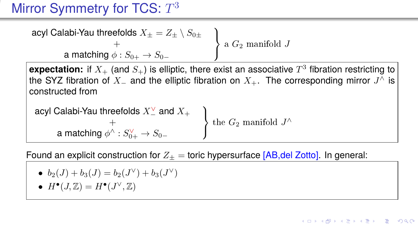# Mirror Symmetry for TCS:  $T^3$

$$
\begin{array}{c}\text{acyl Calabi-Yau threefolds } X_{\pm} = Z_{\pm} \setminus S_{0\pm} \\ \hline + \\ a \text{ matching } \phi: S_{0+} \to S_{0-} \end{array} \bigg\} \text{ a } G_2 \text{ manifold } J
$$

 ${\sf expectation}\colon$  if  $X_+$  (and  $S_+$ ) is elliptic, there exist an associative  $T^3$  fibration restricting to the SYZ fibration of  $X_+$  and the elliptic fibration on  $X_+$ . The corresponding mirror  $J^\wedge$  is constructed from

| acyl Calabi-Yau threefolds $X_{-}^{\vee}$ and $X_{+}$ | the $G_2$ manifold $J^{\wedge}$ |
|-------------------------------------------------------|---------------------------------|
| a matching $\phi^{\wedge} : S_{0+}^{\vee} \to S_{0-}$ | the $G_2$ manifold $J^{\wedge}$ |

Found an explicit construction for  $Z_{\pm}$  = toric hypersurface [AB,del Zotto]. In general:

• 
$$
b_2(J) + b_3(J) = b_2(J^{\vee}) + b_3(J^{\vee})
$$

• 
$$
H^{\bullet}(J, \mathbb{Z}) = H^{\bullet}(J^{\vee}, \mathbb{Z})
$$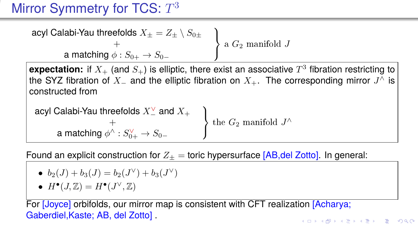# Mirror Symmetry for TCS:  $T^3$

$$
\begin{array}{c}\text{acyl Calabi-Yau threefolds } X_{\pm} = Z_{\pm} \setminus S_{0\pm} \\ \hline + \\ a \text{ matching } \phi: S_{0+} \to S_{0-} \end{array} \bigg\} \text{ a } G_2 \text{ manifold } J
$$

 ${\sf expectation}\colon$  if  $X_+$  (and  $S_+$ ) is elliptic, there exist an associative  $T^3$  fibration restricting to the SYZ fibration of  $X_+$  and the elliptic fibration on  $X_+$ . The corresponding mirror  $J^\wedge$  is constructed from

| acyl Calabi-Yau threefolds $X_{-}^{\vee}$ and $X_{+}$ | the $G_2$ manifold $J^{\wedge}$ |
|-------------------------------------------------------|---------------------------------|
| a matching $\phi^{\wedge} : S_{0+}^{\vee} \to S_{0-}$ | the $G_2$ manifold $J^{\wedge}$ |

Found an explicit construction for  $Z_+$  = toric hypersurface [AB,del Zotto]. In general:

• 
$$
b_2(J) + b_3(J) = b_2(J^{\vee}) + b_3(J^{\vee})
$$

• 
$$
H^{\bullet}(J, \mathbb{Z}) = H^{\bullet}(J^{\vee}, \mathbb{Z})
$$

For [Joyce] orbifolds, our mirror map is consistent with CFT realization [Acharya; Gaberdiel,Kaste; AB, del Zotto] .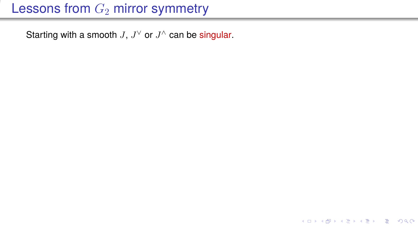# Lessons from  $G_2$  mirror symmetry

Starting with a smooth  $J, J^{\vee}$  or  $J^{\wedge}$  can be singular.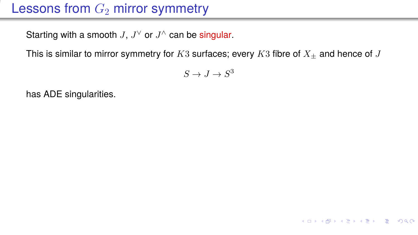# Lessons from  $G_2$  mirror symmetry

Starting with a smooth  $J, J^{\vee}$  or  $J^{\wedge}$  can be singular.

This is similar to mirror symmetry for K3 surfaces; every K3 fibre of  $X_+$  and hence of J

 $S \to J \to S^3$ 

**KO KARA KEK (EK) E VOQO** 

has ADE singularities.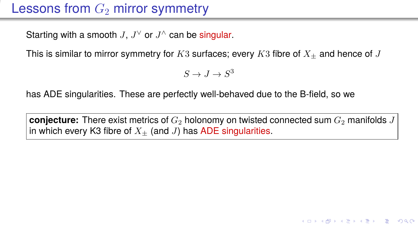# Lessons from  $G_2$  mirror symmetry

Starting with a smooth  $J, J^{\vee}$  or  $J^{\wedge}$  can be singular.

This is similar to mirror symmetry for K3 surfaces; every K3 fibre of  $X_+$  and hence of J

 $S \to J \to S^3$ 

has ADE singularities. These are perfectly well-behaved due to the B-field, so we

**conjecture:** There exist metrics of  $G_2$  holonomy on twisted connected sum  $G_2$  manifolds J in which every K3 fibre of  $X_+$  (and J) has ADE singularities.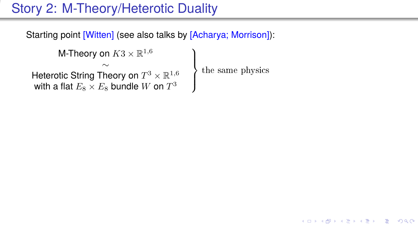# Story 2: M-Theory/Heterotic Duality

Starting point [Witten] (see also talks by [Acharya; Morrison]):

```
M-Theory on K3\times\mathbb{R}^{1,6} )
                                              \} the same physics
                                              \intHeterotic String Theory on T^3 \times \mathbb{R}^{1,6} the same physics
with a flat E_8\times E_8 bundle W on T^3
```
 $\mathcal{A} \subseteq \mathcal{A} \rightarrow \mathcal{A} \oplus \mathcal{A} \rightarrow \mathcal{A} \oplus \mathcal{A} \rightarrow \mathcal{A}$  $2990$ GH.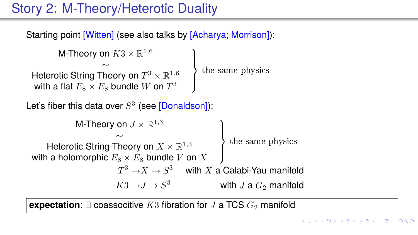# Story 2: M-Theory/Heterotic Duality

Starting point [Witten] (see also talks by [Acharya; Morrison]):

```
M-Theory on K3\times \mathbb{R}^{1,6}\mathcal{L}the same physics
                                                  \intHeterotic String Theory on T^3 \times \mathbb{R}^{1,6} the same physics
with a flat E_8\times E_8 bundle W on T^3
```
Let's fiber this data over  $S^3$  (see [Donaldson]):

```
M-Theory on J\times\mathbb{R}^{1,3} )
                                                           \overline{\mathcal{L}}\intHeterotic String Theory on X \times \mathbb{R}^{1,3} the same physics
with a holomorphic E_8 \times E_8 bundle V on X
                           T^3 \rightarrow X \rightarrow S^3 \quad with X a Calabi-Yau manifold
                          K3 \rightarrow J \rightarrow S^3with J a G_2 manifold
```
**expectation:**  $\exists$  coassocitive K3 fibration for J a TCS  $G_2$  manifold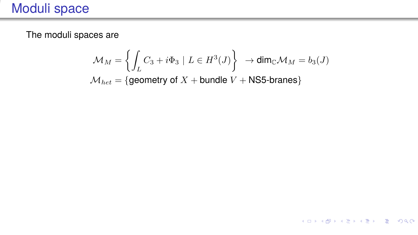# Moduli space

The moduli spaces are

$$
\mathcal{M}_M = \left\{ \int_L C_3 + i \Phi_3 \mid L \in H^3(J) \right\} \to \dim_{\mathbb{C}} \mathcal{M}_M = b_3(J)
$$
  

$$
\mathcal{M}_{het} = \left\{ \text{geometry of } X + \text{bundle } V + \text{NS5-branes} \right\}
$$

メロトメ 御 トメ ミトメ ミト

造っ  $2990$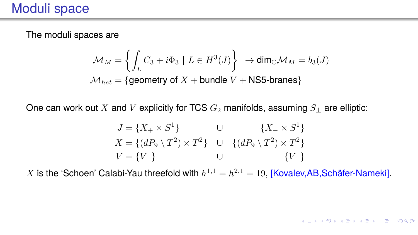The moduli spaces are

$$
\mathcal{M}_M = \left\{ \int_L C_3 + i\Phi_3 \mid L \in H^3(J) \right\} \to \dim_{\mathbb{C}} \mathcal{M}_M = b_3(J)
$$
  

$$
\mathcal{M}_{het} = \left\{ \text{geometry of } X + \text{bundle } V + \text{NS5-branes} \right\}
$$

One can work out X and V explicitly for TCS  $G_2$  manifolds, assuming  $S_+$  are elliptic:

$$
J = \{X_+ \times S^1\}
$$
  
\n
$$
X = \{(dP_9 \setminus T^2) \times T^2\}
$$
  
\n
$$
V = \{V_+\}
$$
  
\n
$$
U = \{Q_9 \setminus T^2\} \times T^2\}
$$
  
\n
$$
U = \{V_+\}
$$
  
\n
$$
U = \{V_+\}
$$

X is the 'Schoen' Calabi-Yau threefold with  $h^{1,1} = h^{2,1} = 19$ , [Kovalev, AB, Schäfer-Nameki].

KO KARA KE KE KE YA GA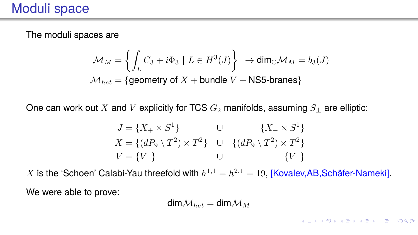The moduli spaces are

$$
\mathcal{M}_M = \left\{ \int_L C_3 + i \Phi_3 \mid L \in H^3(J) \right\} \to \dim_{\mathbb{C}} \mathcal{M}_M = b_3(J)
$$
  

$$
\mathcal{M}_{het} = \left\{ \text{geometry of } X + \text{bundle } V + \text{NS5-branes} \right\}
$$

One can work out X and V explicitly for TCS  $G_2$  manifolds, assuming  $S_+$  are elliptic:

$$
J = \{X_+ \times S^1\}
$$
  
\n
$$
X = \{(dP_9 \setminus T^2) \times T^2\}
$$
  
\n
$$
V = \{V_+\}
$$
  
\n
$$
U = \{V_+\}
$$
  
\n
$$
U = \{V_+\}
$$

X is the 'Schoen' Calabi-Yau threefold with  $h^{1,1} = h^{2,1} = 19$ , [Kovalev, AB, Schäfer-Nameki]. We were able to prove:

$$
\text{dim}\mathcal{M}_{het}=\text{dim}\mathcal{M}_M
$$

KO KARA KE KE KE YA GA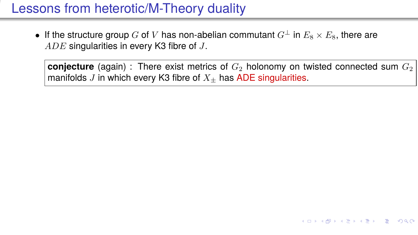• If the structure group G of V has non-abelian commutant  $G^{\perp}$  in  $E_8 \times E_8$ , there are ADE singularities in every K3 fibre of J.

**conjecture** (again) : There exist metrics of  $G<sub>2</sub>$  holonomy on twisted connected sum  $G<sub>2</sub>$ manifolds J in which every K3 fibre of  $X_{+}$  has ADE singularities.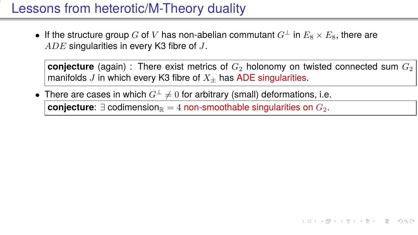• If the structure group G of V has non-abelian commutant  $G^{\perp}$  in  $E_8 \times E_8$ , there are ADE singularities in every K3 fibre of J.

**conjecture** (again) : There exist metrics of  $G<sub>2</sub>$  holonomy on twisted connected sum  $G<sub>2</sub>$ manifolds J in which every K3 fibre of  $X_{+}$  has ADE singularities.

**KORK EXTERN EL VOOR** 

• There are cases in which  $G^{\perp} \neq 0$  for arbitrary (small) deformations, i.e. **conjecture**:  $∃$  codimension<sub>R</sub> = 4 non-smoothable singularities on  $G_2$ .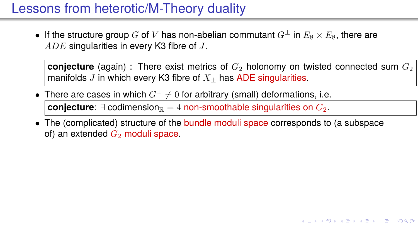• If the structure group G of V has non-abelian commutant  $G^{\perp}$  in  $E_8 \times E_8$ , there are ADE singularities in every K3 fibre of J.

**conjecture** (again) : There exist metrics of  $G<sub>2</sub>$  holonomy on twisted connected sum  $G<sub>2</sub>$ manifolds J in which every K3 fibre of  $X_{+}$  has ADE singularities.

- There are cases in which  $G^{\perp} \neq 0$  for arbitrary (small) deformations, i.e. **conjecture**:  $∃$  codimension<sub>R</sub> = 4 non-smoothable singularities on  $G_2$ .
- The (complicated) structure of the bundle moduli space corresponds to (a subspace of) an extended  $G_2$  moduli space.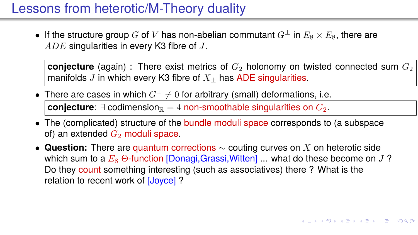• If the structure group G of V has non-abelian commutant  $G^{\perp}$  in  $E_8 \times E_8$ , there are ADE singularities in every K3 fibre of J.

**conjecture** (again) : There exist metrics of  $G<sub>2</sub>$  holonomy on twisted connected sum  $G<sub>2</sub>$ manifolds J in which every K3 fibre of  $X_{+}$  has ADE singularities.

- There are cases in which  $G^{\perp} \neq 0$  for arbitrary (small) deformations, i.e. **conjecture**:  $∃$  codimension<sub>R</sub> = 4 non-smoothable singularities on  $G_2$ .
- The (complicated) structure of the bundle moduli space corresponds to (a subspace of) an extended  $G_2$  moduli space.
- **Question:** There are quantum corrections ∼ couting curves on X on heterotic side which sum to a  $E_8 \Theta$ -function [Donagi,Grassi,Witten] ... what do these become on J? Do they count something interesting (such as associatives) there ? What is the relation to recent work of [Joyce] ?